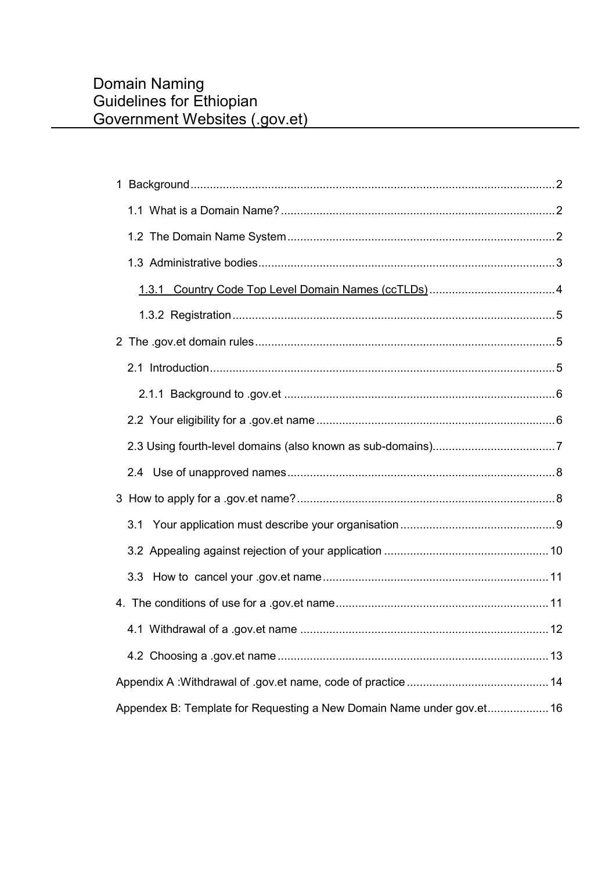| 3.1                                                                   |  |
|-----------------------------------------------------------------------|--|
|                                                                       |  |
|                                                                       |  |
|                                                                       |  |
|                                                                       |  |
|                                                                       |  |
|                                                                       |  |
| Appendex B: Template for Requesting a New Domain Name under gov.et 16 |  |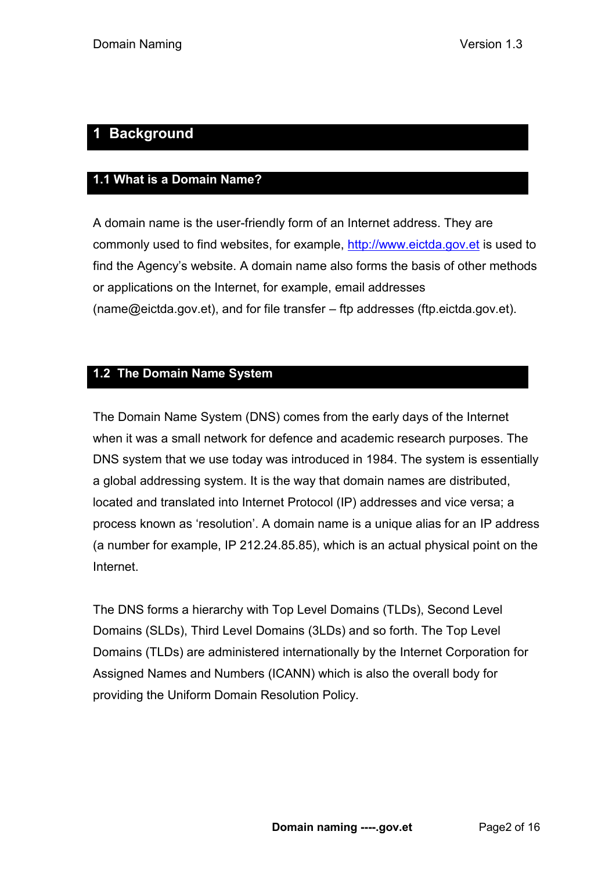# <span id="page-1-0"></span>**1 Background**

# <span id="page-1-1"></span>**1.1 What is a Domain Name?**

A domain name is the user-friendly form of an Internet address. They are commonly used to find websites, for example, [http://www.eictda.gov.et](http://www.eictda.gov.et/) is used to find the Agency's website. A domain name also forms the basis of other methods or applications on the Internet, for example, email addresses (name@eictda.gov.et), and for file transfer – ftp addresses (ftp.eictda.gov.et).

# <span id="page-1-2"></span>**1.2 The Domain Name System**

The Domain Name System (DNS) comes from the early days of the Internet when it was a small network for defence and academic research purposes. The DNS system that we use today was introduced in 1984. The system is essentially a global addressing system. It is the way that domain names are distributed, located and translated into Internet Protocol (IP) addresses and vice versa; a process known as 'resolution'. A domain name is a unique alias for an IP address (a number for example, IP 212.24.85.85), which is an actual physical point on the Internet.

The DNS forms a hierarchy with Top Level Domains (TLDs), Second Level Domains (SLDs), Third Level Domains (3LDs) and so forth. The Top Level Domains (TLDs) are administered internationally by the Internet Corporation for Assigned Names and Numbers (ICANN) which is also the overall body for providing the Uniform Domain Resolution Policy.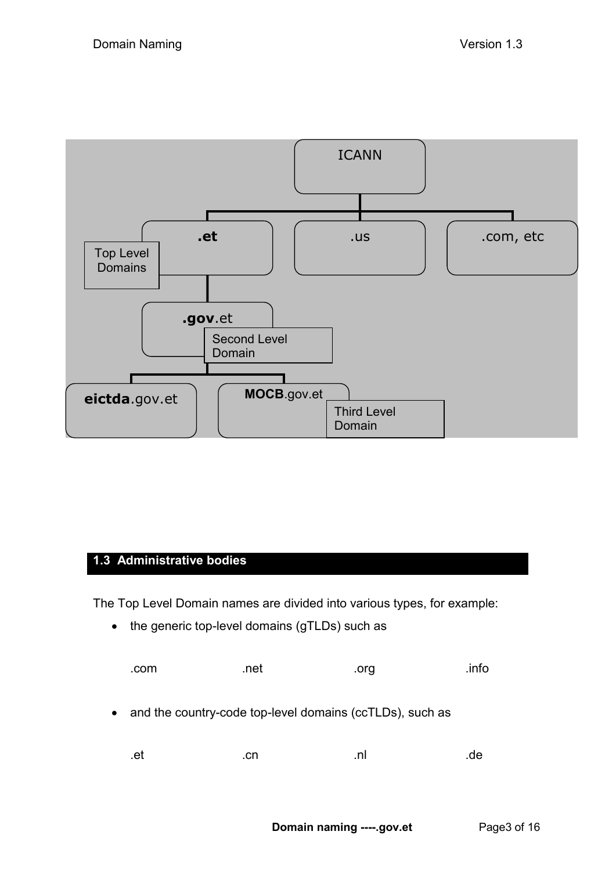

# <span id="page-2-0"></span>**1.3 Administrative bodies**

The Top Level Domain names are divided into various types, for example:

• the generic top-level domains (gTLDs) such as

| .com                                                                  | .net | .org | .info |
|-----------------------------------------------------------------------|------|------|-------|
| and the country-code top-level domains (ccTLDs), such as<br>$\bullet$ |      |      |       |
| .et                                                                   | .cn  | .nl  | .de   |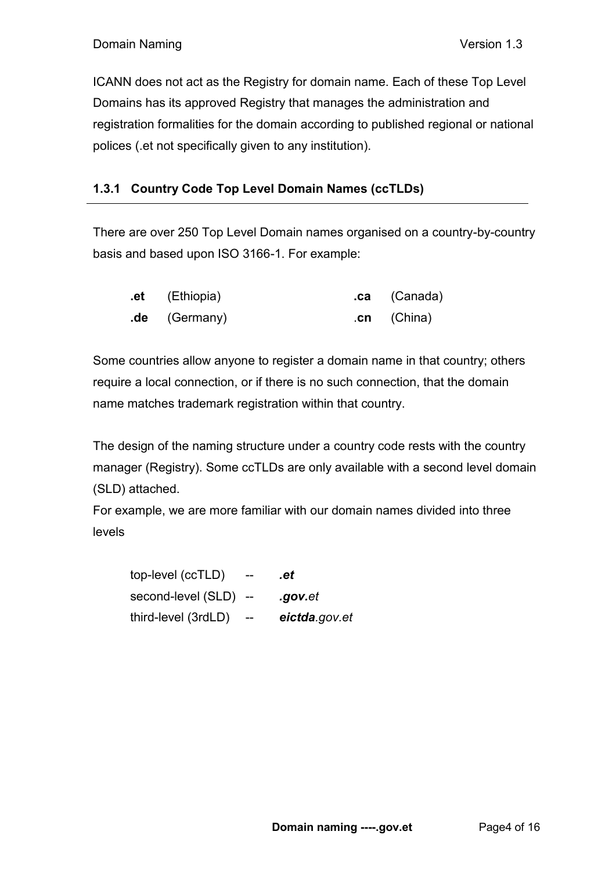ICANN does not act as the Registry for domain name. Each of these Top Level Domains has its approved Registry that manages the administration and registration formalities for the domain according to published regional or national polices (.et not specifically given to any institution).

# **1.3.1 Country Code Top Level Domain Names (ccTLDs)**

There are over 250 Top Level Domain names organised on a country-by-country basis and based upon ISO 3166-1. For example:

| .et (Ethiopia)  | .ca (Canada) |
|-----------------|--------------|
| $.de$ (Germany) | $cn$ (China) |

Some countries allow anyone to register a domain name in that country; others require a local connection, or if there is no such connection, that the domain name matches trademark registration within that country.

The design of the naming structure under a country code rests with the country manager (Registry). Some ccTLDs are only available with a second level domain (SLD) attached.

For example, we are more familiar with our domain names divided into three levels

top-level (ccTLD) -- *.et* second-level (SLD) -- *.gov.et*  third-level (3rdLD) -- *eictda.gov.et*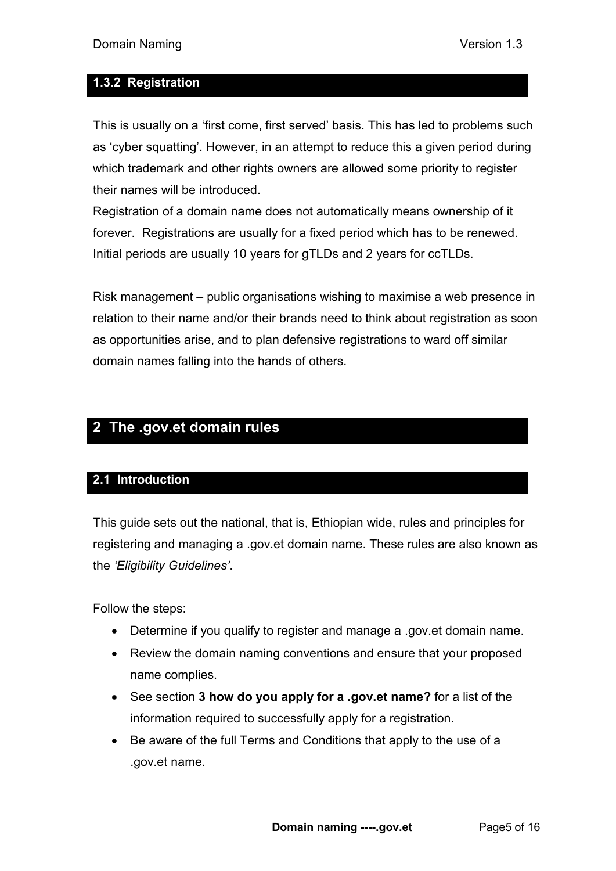### <span id="page-4-0"></span>**1.3.2 Registration**

This is usually on a 'first come, first served' basis. This has led to problems such as 'cyber squatting'. However, in an attempt to reduce this a given period during which trademark and other rights owners are allowed some priority to register their names will be introduced.

Registration of a domain name does not automatically means ownership of it forever. Registrations are usually for a fixed period which has to be renewed. Initial periods are usually 10 years for gTLDs and 2 years for ccTLDs.

Risk management – public organisations wishing to maximise a web presence in relation to their name and/or their brands need to think about registration as soon as opportunities arise, and to plan defensive registrations to ward off similar domain names falling into the hands of others.

# <span id="page-4-1"></span>**2 The .gov.et domain rules**

### <span id="page-4-2"></span>**2.1 Introduction**

This guide sets out the national, that is, Ethiopian wide, rules and principles for registering and managing a .gov.et domain name. These rules are also known as the *'Eligibility Guidelines'*.

Follow the steps:

- Determine if you qualify to register and manage a .gov.et domain name.
- Review the domain naming conventions and ensure that your proposed name complies.
- See section **3 how do you apply for a .gov.et name?** for a list of the information required to successfully apply for a registration.
- Be aware of the full Terms and Conditions that apply to the use of a .gov.et name.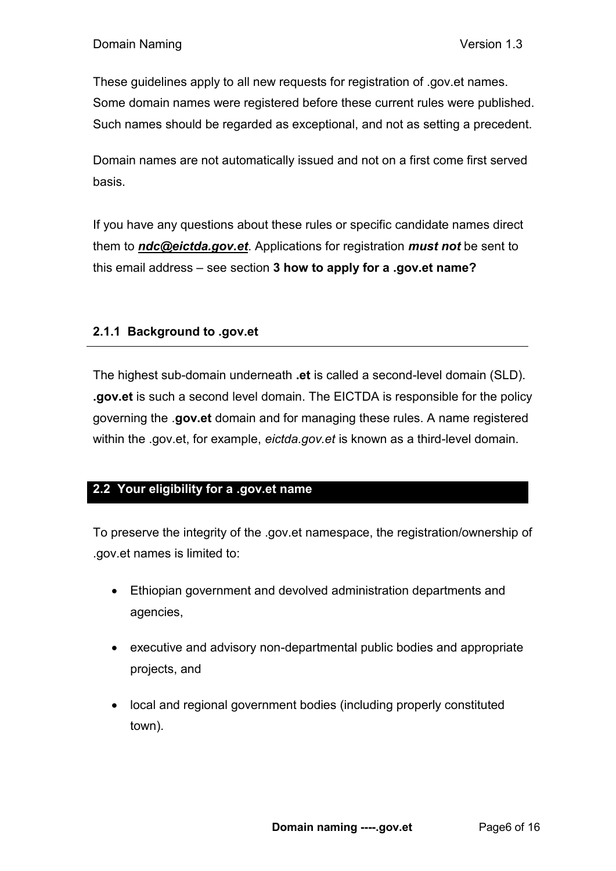These guidelines apply to all new requests for registration of .gov.et names. Some domain names were registered before these current rules were published. Such names should be regarded as exceptional, and not as setting a precedent.

Domain names are not automatically issued and not on a first come first served basis.

If you have any questions about these rules or specific candidate names direct them to *ndc@eictda.gov.et*. Applications for registration *must not* be sent to this email address – see section **3 how to apply for a .gov.et name?**

### <span id="page-5-0"></span>**2.1.1 Background to .gov.et**

The highest sub-domain underneath **.et** is called a second-level domain (SLD). **.gov.et** is such a second level domain. The EICTDA is responsible for the policy governing the .**gov.et** domain and for managing these rules. A name registered within the .gov.et, for example, *eictda.gov.et* is known as a third-level domain.

### <span id="page-5-1"></span>**2.2 Your eligibility for a .gov.et name**

To preserve the integrity of the .gov.et namespace, the registration/ownership of .gov.et names is limited to:

- Ethiopian government and devolved administration departments and agencies,
- executive and advisory non-departmental public bodies and appropriate projects, and
- local and regional government bodies (including properly constituted town).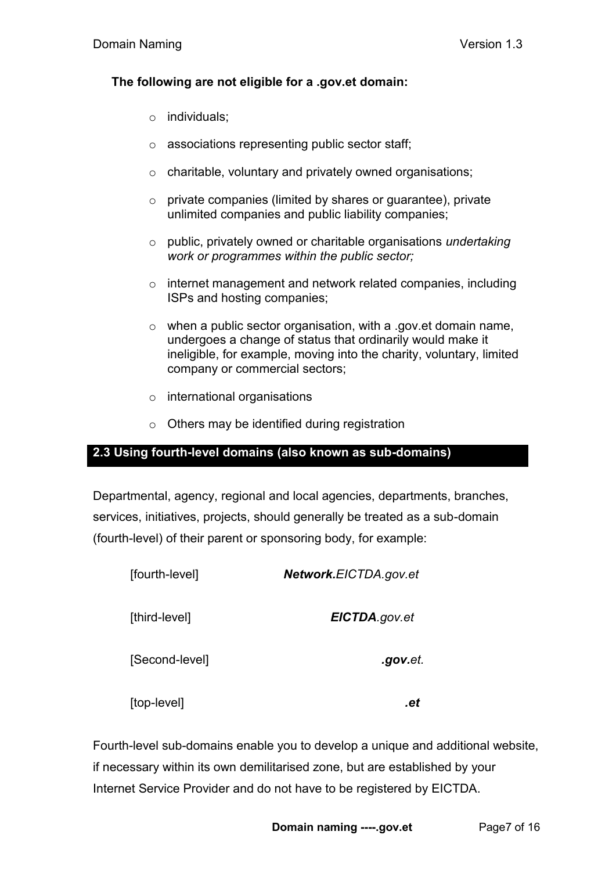#### **The following are not eligible for a .gov.et domain:**

- o individuals;
- o associations representing public sector staff;
- o charitable, voluntary and privately owned organisations;
- $\circ$  private companies (limited by shares or guarantee), private unlimited companies and public liability companies;
- o public, privately owned or charitable organisations *undertaking work or programmes within the public sector;*
- o internet management and network related companies, including ISPs and hosting companies;
- o when a public sector organisation, with a .gov.et domain name, undergoes a change of status that ordinarily would make it ineligible, for example, moving into the charity, voluntary, limited company or commercial sectors;
- o international organisations
- o Others may be identified during registration

# <span id="page-6-0"></span>**2.3 Using fourth-level domains (also known as sub-domains)**

Departmental, agency, regional and local agencies, departments, branches, services, initiatives, projects, should generally be treated as a sub-domain (fourth-level) of their parent or sponsoring body, for example:

| [fourth-level] | Network.EICTDA.gov.et |
|----------------|-----------------------|
| [third-level]  | EICTDA.gov.et         |
| [Second-level] | .gov.et.              |
| [top-level]    | -91                   |

Fourth-level sub-domains enable you to develop a unique and additional website, if necessary within its own demilitarised zone, but are established by your Internet Service Provider and do not have to be registered by EICTDA.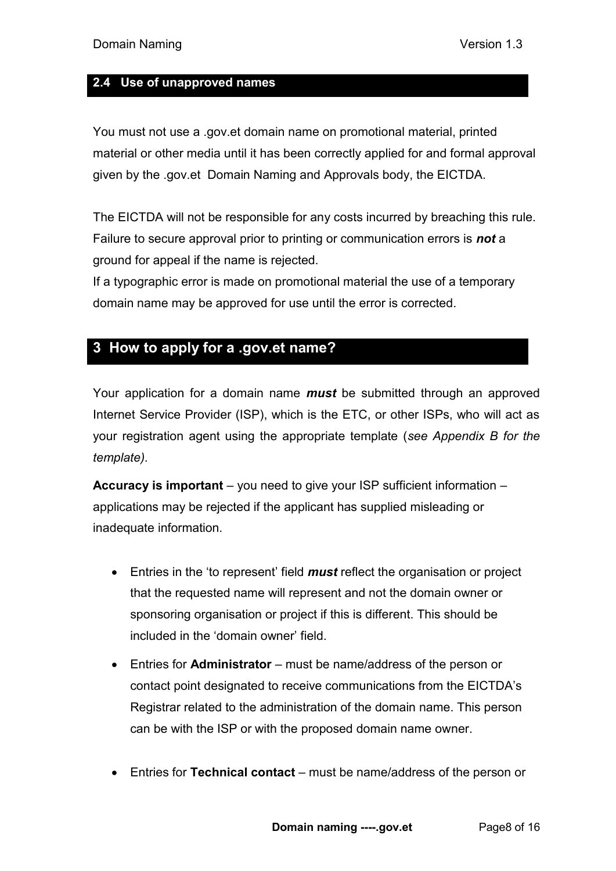#### <span id="page-7-0"></span>**2.4 Use of unapproved names**

You must not use a .gov.et domain name on promotional material, printed material or other media until it has been correctly applied for and formal approval given by the .gov.et Domain Naming and Approvals body, the EICTDA.

The EICTDA will not be responsible for any costs incurred by breaching this rule. Failure to secure approval prior to printing or communication errors is *not* a ground for appeal if the name is rejected.

If a typographic error is made on promotional material the use of a temporary domain name may be approved for use until the error is corrected.

# <span id="page-7-1"></span>**3 How to apply for a .gov.et name?**

Your application for a domain name *must* be submitted through an approved Internet Service Provider (ISP), which is the ETC, or other ISPs, who will act as your registration agent using the appropriate template (*see Appendix B for the template).* 

**Accuracy is important** – you need to give your ISP sufficient information – applications may be rejected if the applicant has supplied misleading or inadequate information.

- Entries in the 'to represent' field *must* reflect the organisation or project that the requested name will represent and not the domain owner or sponsoring organisation or project if this is different. This should be included in the 'domain owner' field.
- Entries for **Administrator** must be name/address of the person or contact point designated to receive communications from the EICTDA's Registrar related to the administration of the domain name. This person can be with the ISP or with the proposed domain name owner.
- Entries for **Technical contact** must be name/address of the person or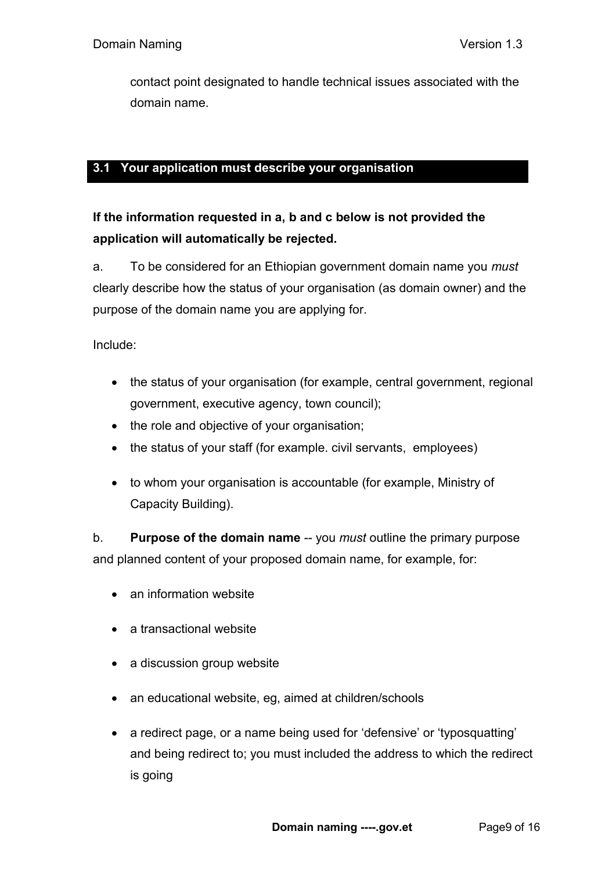contact point designated to handle technical issues associated with the domain name.

## <span id="page-8-0"></span>**3.1 Your application must describe your organisation**

# **If the information requested in a, b and c below is not provided the application will automatically be rejected.**

a. To be considered for an Ethiopian government domain name you *must* clearly describe how the status of your organisation (as domain owner) and the purpose of the domain name you are applying for.

Include:

- the status of your organisation (for example, central government, regional government, executive agency, town council);
- the role and objective of your organisation;
- the status of your staff (for example. civil servants, employees)
- to whom your organisation is accountable (for example, Ministry of Capacity Building).

b. **Purpose of the domain name** -- you *must* outline the primary purpose and planned content of your proposed domain name, for example, for:

- an information website
- a transactional website
- a discussion group website
- an educational website, eg, aimed at children/schools
- a redirect page, or a name being used for 'defensive' or 'typosquatting' and being redirect to; you must included the address to which the redirect is going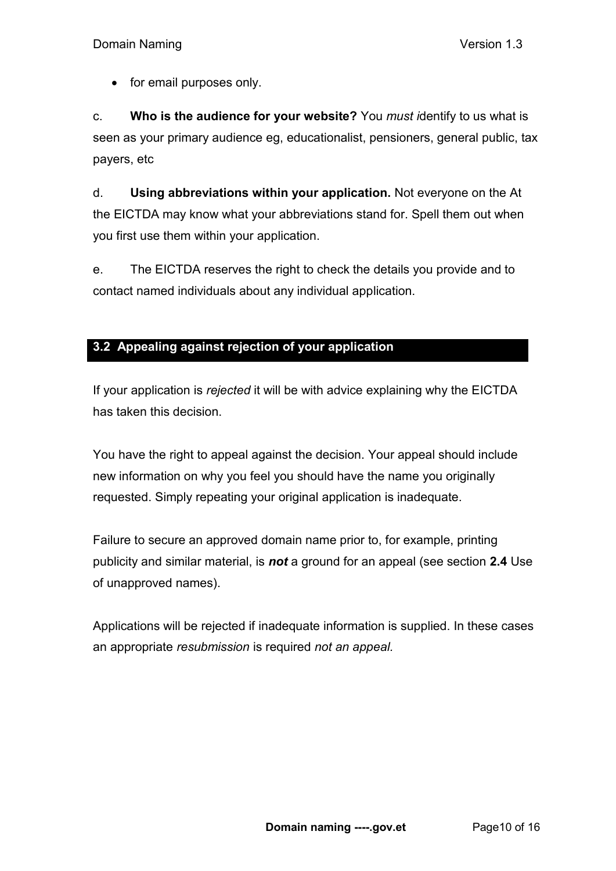• for email purposes only.

c. **Who is the audience for your website?** You *must i*dentify to us what is seen as your primary audience eg, educationalist, pensioners, general public, tax payers, etc

d. **Using abbreviations within your application.** Not everyone on the At the EICTDA may know what your abbreviations stand for. Spell them out when you first use them within your application.

e. The EICTDA reserves the right to check the details you provide and to contact named individuals about any individual application.

# <span id="page-9-0"></span>**3.2 Appealing against rejection of your application**

If your application is *rejected* it will be with advice explaining why the EICTDA has taken this decision.

You have the right to appeal against the decision. Your appeal should include new information on why you feel you should have the name you originally requested. Simply repeating your original application is inadequate.

Failure to secure an approved domain name prior to, for example, printing publicity and similar material, is *not* a ground for an appeal (see section **2.4** Use of unapproved names).

Applications will be rejected if inadequate information is supplied. In these cases an appropriate *resubmission* is required *not an appeal.*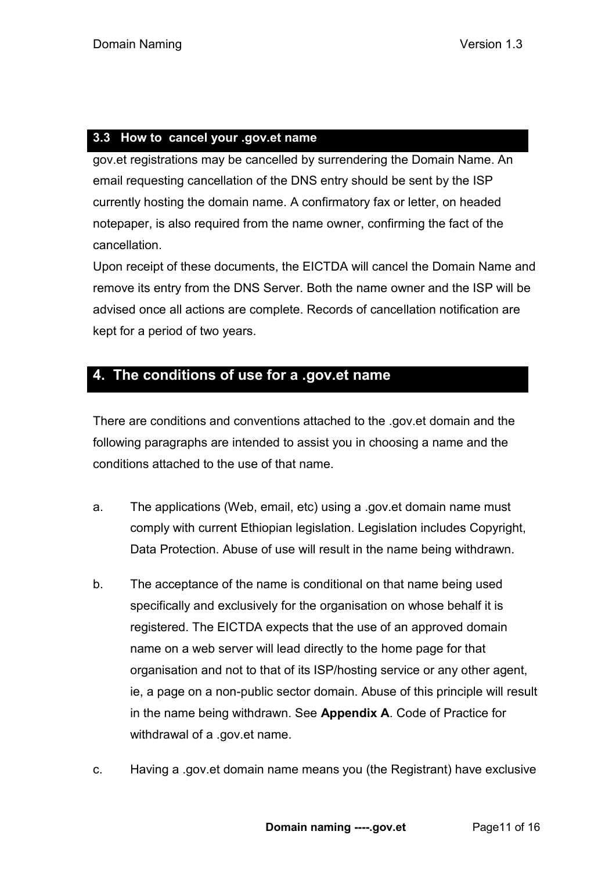## <span id="page-10-0"></span>**3.3 How to cancel your .gov.et name**

gov.et registrations may be cancelled by surrendering the Domain Name. An email requesting cancellation of the DNS entry should be sent by the ISP currently hosting the domain name. A confirmatory fax or letter, on headed notepaper, is also required from the name owner, confirming the fact of the cancellation.

Upon receipt of these documents, the EICTDA will cancel the Domain Name and remove its entry from the DNS Server. Both the name owner and the ISP will be advised once all actions are complete. Records of cancellation notification are kept for a period of two years.

# <span id="page-10-1"></span>**4. The conditions of use for a .gov.et name**

There are conditions and conventions attached to the .gov.et domain and the following paragraphs are intended to assist you in choosing a name and the conditions attached to the use of that name.

- a. The applications (Web, email, etc) using a .gov.et domain name must comply with current Ethiopian legislation. Legislation includes Copyright, Data Protection. Abuse of use will result in the name being withdrawn.
- b. The acceptance of the name is conditional on that name being used specifically and exclusively for the organisation on whose behalf it is registered. The EICTDA expects that the use of an approved domain name on a web server will lead directly to the home page for that organisation and not to that of its ISP/hosting service or any other agent, ie, a page on a non-public sector domain. Abuse of this principle will result in the name being withdrawn. See **Appendix A**. Code of Practice for withdrawal of a .gov.et name.
- c. Having a .gov.et domain name means you (the Registrant) have exclusive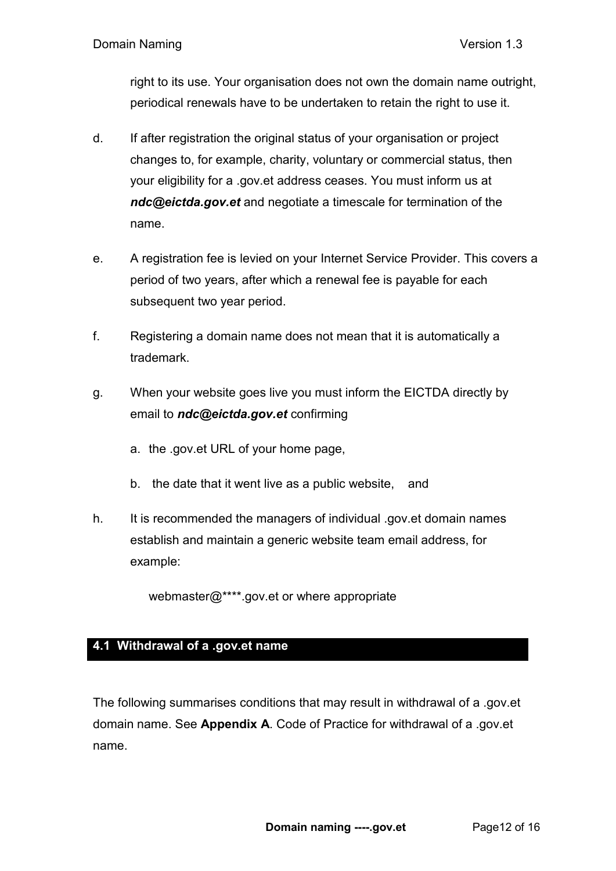right to its use. Your organisation does not own the domain name outright, periodical renewals have to be undertaken to retain the right to use it.

- d. If after registration the original status of your organisation or project changes to, for example, charity, voluntary or commercial status, then your eligibility for a .gov.et address ceases. You must inform us at *ndc@eictda.gov.et* and negotiate a timescale for termination of the name.
- e. A registration fee is levied on your Internet Service Provider. This covers a period of two years, after which a renewal fee is payable for each subsequent two year period.
- f. Registering a domain name does not mean that it is automatically a trademark.
- g. When your website goes live you must inform the EICTDA directly by email to *ndc@eictda.gov.et* confirming
	- a. the .gov.et URL of your home page,
	- b. the date that it went live as a public website, and
- h. It is recommended the managers of individual .gov.et domain names establish and maintain a generic website team email address, for example:

webmaster@\*\*\*\*.gov.et or where appropriate

### <span id="page-11-0"></span>**4.1 Withdrawal of a .gov.et name**

The following summarises conditions that may result in withdrawal of a .gov.et domain name. See **Appendix A**. Code of Practice for withdrawal of a .gov.et name.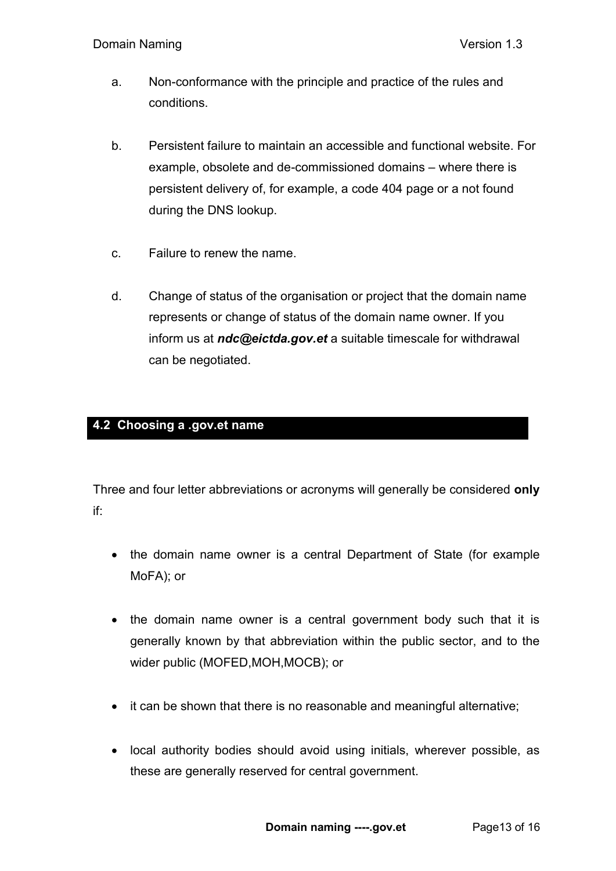- a. Non-conformance with the principle and practice of the rules and conditions.
- b. Persistent failure to maintain an accessible and functional website. For example, obsolete and de-commissioned domains – where there is persistent delivery of, for example, a code 404 page or a not found during the DNS lookup.
- c. Failure to renew the name.
- d. Change of status of the organisation or project that the domain name represents or change of status of the domain name owner. If you inform us at *ndc@eictda.gov.et* a suitable timescale for withdrawal can be negotiated.

# <span id="page-12-0"></span>**4.2 Choosing a .gov.et name**

Three and four letter abbreviations or acronyms will generally be considered **only** if:

- the domain name owner is a central Department of State (for example MoFA); or
- the domain name owner is a central government body such that it is generally known by that abbreviation within the public sector, and to the wider public (MOFED,MOH,MOCB); or
- it can be shown that there is no reasonable and meaningful alternative;
- local authority bodies should avoid using initials, wherever possible, as these are generally reserved for central government.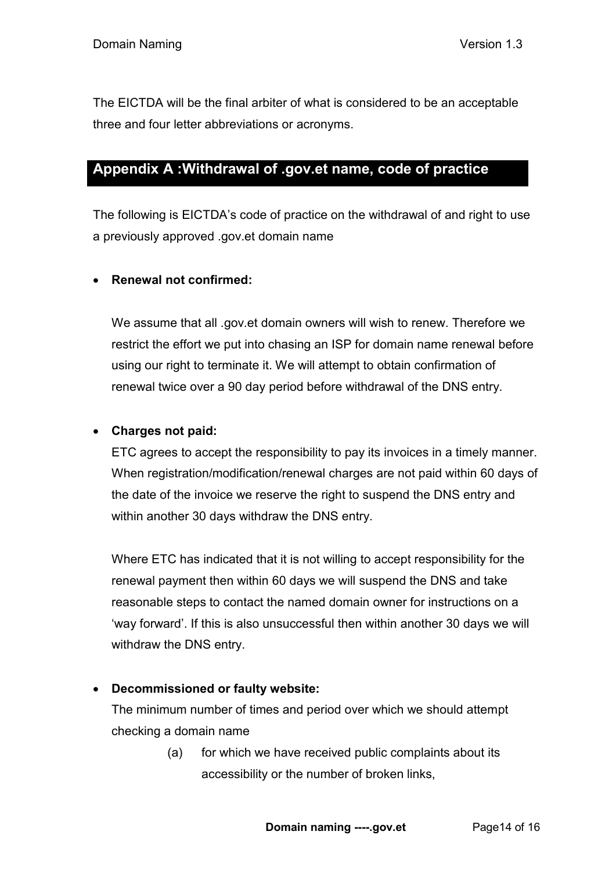The EICTDA will be the final arbiter of what is considered to be an acceptable three and four letter abbreviations or acronyms.

# <span id="page-13-0"></span>**Appendix A :Withdrawal of .gov.et name, code of practice**

The following is EICTDA's code of practice on the withdrawal of and right to use a previously approved .gov.et domain name

# **Renewal not confirmed:**

We assume that all .gov.et domain owners will wish to renew. Therefore we restrict the effort we put into chasing an ISP for domain name renewal before using our right to terminate it. We will attempt to obtain confirmation of renewal twice over a 90 day period before withdrawal of the DNS entry.

## **Charges not paid:**

ETC agrees to accept the responsibility to pay its invoices in a timely manner. When registration/modification/renewal charges are not paid within 60 days of the date of the invoice we reserve the right to suspend the DNS entry and within another 30 days withdraw the DNS entry.

Where ETC has indicated that it is not willing to accept responsibility for the renewal payment then within 60 days we will suspend the DNS and take reasonable steps to contact the named domain owner for instructions on a 'way forward'. If this is also unsuccessful then within another 30 days we will withdraw the DNS entry.

### **Decommissioned or faulty website:**

The minimum number of times and period over which we should attempt checking a domain name

> (a) for which we have received public complaints about its accessibility or the number of broken links,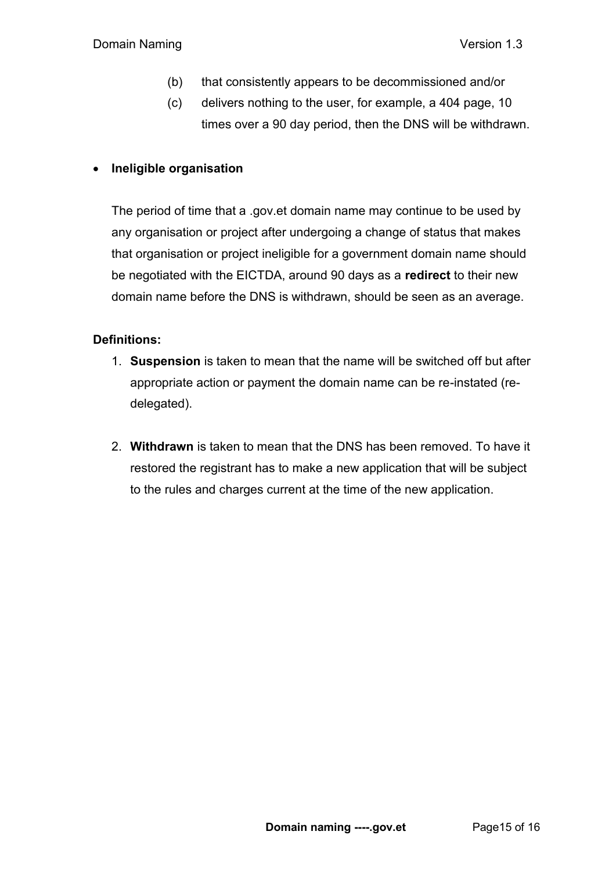- (b) that consistently appears to be decommissioned and/or
- (c) delivers nothing to the user, for example, a 404 page, 10 times over a 90 day period, then the DNS will be withdrawn.

## **Ineligible organisation**

The period of time that a .gov.et domain name may continue to be used by any organisation or project after undergoing a change of status that makes that organisation or project ineligible for a government domain name should be negotiated with the EICTDA, around 90 days as a **redirect** to their new domain name before the DNS is withdrawn, should be seen as an average.

### **Definitions:**

- 1. **Suspension** is taken to mean that the name will be switched off but after appropriate action or payment the domain name can be re-instated (redelegated).
- 2. **Withdrawn** is taken to mean that the DNS has been removed. To have it restored the registrant has to make a new application that will be subject to the rules and charges current at the time of the new application.